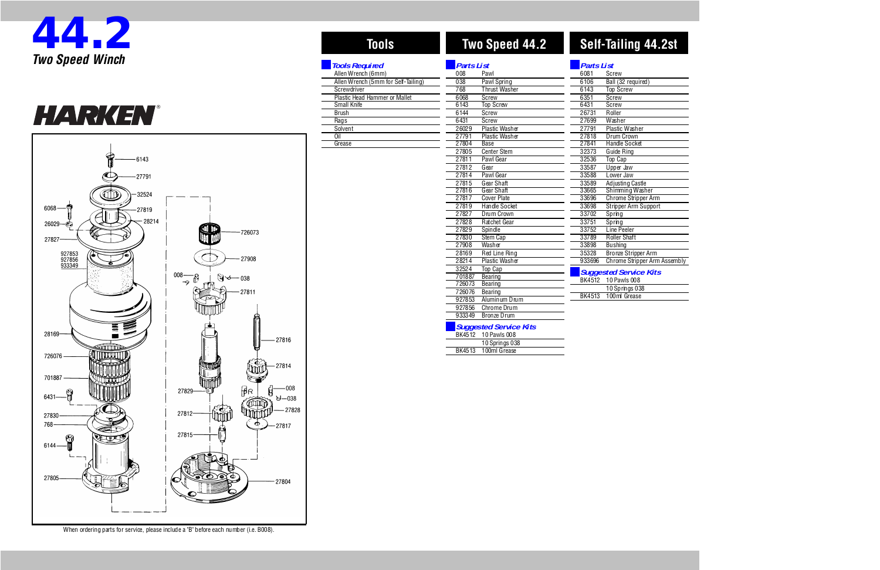| Parts List                    |                              |  |  |
|-------------------------------|------------------------------|--|--|
| 6081                          | Screw                        |  |  |
| $\overline{6106}$             | Ball (32 required)           |  |  |
| 6143                          | <b>Top Screw</b>             |  |  |
| 6351                          | <b>Screw</b>                 |  |  |
| 6431                          | Screw                        |  |  |
| 26731                         | Roller                       |  |  |
| 27699                         | Washer                       |  |  |
| 27791                         | Plastic Washer               |  |  |
| 27818                         | Drum Crown                   |  |  |
| 27841                         | <b>Handle Socket</b>         |  |  |
| 32373                         | Guide Ring                   |  |  |
| 32536                         | Top Cap                      |  |  |
| 33587                         | Upper Jaw                    |  |  |
| 33588                         | Lower Jaw                    |  |  |
| 33589                         | Adjusting Castle             |  |  |
| 33665                         | Shimming Washer              |  |  |
| 33696                         | Chrome Stripper Arm          |  |  |
| 33698                         | Stripper Arm Support         |  |  |
| 33702                         | Spring                       |  |  |
| 33751                         | Spring                       |  |  |
| 33752                         | Line Peeler                  |  |  |
| 33789                         | Roller Shaft                 |  |  |
| 33898                         | Bushing                      |  |  |
| 35328                         | <b>Bronze Stripper Arm</b>   |  |  |
| 933696                        | Chrome Stripper Arm Assembly |  |  |
| <b>Suggested Service Kits</b> |                              |  |  |

| 6143   | <b>Top Screw</b>              |
|--------|-------------------------------|
| 6351   | Screw                         |
| 6431   | Screw                         |
| 26731  | Roller                        |
| 27699  | Washer                        |
| 27791  | Plastic Washer                |
| 27818  | Drum Crown                    |
| 27841  | <b>Handle Socket</b>          |
| 32373  | Guide Ring                    |
| 32536  | <b>Top Cap</b>                |
| 33587  | Upper Jaw                     |
| 33588  | Lower Jaw                     |
| 33589  | Adjusting Castle              |
| 33665  | Shimming Washer               |
| 33696  | Chrome Stripper Arm           |
| 33698  | Stripper Arm Support          |
| 33702  | Spring                        |
| 33751  | Spring                        |
| 33752  | Line Peeler                   |
| 33789  | Roller Shaft                  |
| 33898  | <b>Bushing</b>                |
| 35328  | Bronze Stripper Arm           |
| 933696 | Chrome Stripper Arm Assembly  |
|        | <b>Suggested Service Kits</b> |
| BK4512 | 10 Pawls 008                  |
|        | 10 Springs 038                |
| BK4513 | 100ml Grease                  |
|        |                               |

®





| Tools                               | Two Speed 44.2<br><b>Parts List</b> |                       |  |
|-------------------------------------|-------------------------------------|-----------------------|--|
| <b>Tools Required</b>               |                                     |                       |  |
| Allen Wrench (6mm)                  | 008                                 | Pawl                  |  |
| Allen Wrench (5mm for Self-Tailing) | 038                                 | Pawl Spring           |  |
| Screwdriver                         | 768                                 | <b>Thrust Washer</b>  |  |
| Plastic Head Hammer or Mallet       | 6068                                | Screw                 |  |
| Small Knife                         | 6143                                | <b>Top Screw</b>      |  |
| <b>Brush</b>                        | 6144                                | Screw                 |  |
| Rags                                | 6431                                | Screw                 |  |
| Solvent                             | 26029                               | Plastic Washer        |  |
| Oil                                 | 27791                               | <b>Plastic Washer</b> |  |
| Grease                              | 27804                               | Base                  |  |
|                                     | 27805                               | <b>Center Stem</b>    |  |
|                                     | 27811                               | Pawl Gear             |  |
|                                     | 27812                               | Gear                  |  |
|                                     | 27814                               | Pawl Gear             |  |
|                                     | 27815                               | Gear Shaft            |  |
|                                     | 27816                               | Gear Shaft            |  |
|                                     | 27817                               | <b>Cover Plate</b>    |  |
|                                     | 27819                               | Handle Socket         |  |
|                                     | 27827                               | Drum Crown            |  |
|                                     | 27828                               | Ratchet Gear          |  |
|                                     | 27829                               | Spindle               |  |
|                                     | 27830                               | Stem Cap              |  |
|                                     | 27908                               | Washer                |  |
|                                     | 28169                               | Red Line Ring         |  |
|                                     | 28214                               | Plastic Washer        |  |
|                                     | 32524                               | Top Cap               |  |
|                                     | 701887                              | Bearing               |  |
|                                     | 726073                              | Bearing               |  |
|                                     | 726076                              | Bearing               |  |

 Aluminum Drum Chrome Drum Bronze Drum

#### **Suggested Service Kits** BK4512 10 Pawls 008

|  | <b>PINTULE IVIAWIU VUU</b> |
|--|----------------------------|
|  | 10 Springs 038             |
|  | BK4513 100ml Grease        |
|  |                            |

When ordering parts for service, please include a "B" before each number (i.e. B008).

# **Two Speed 44.2 Self-Tailing 44.2st**